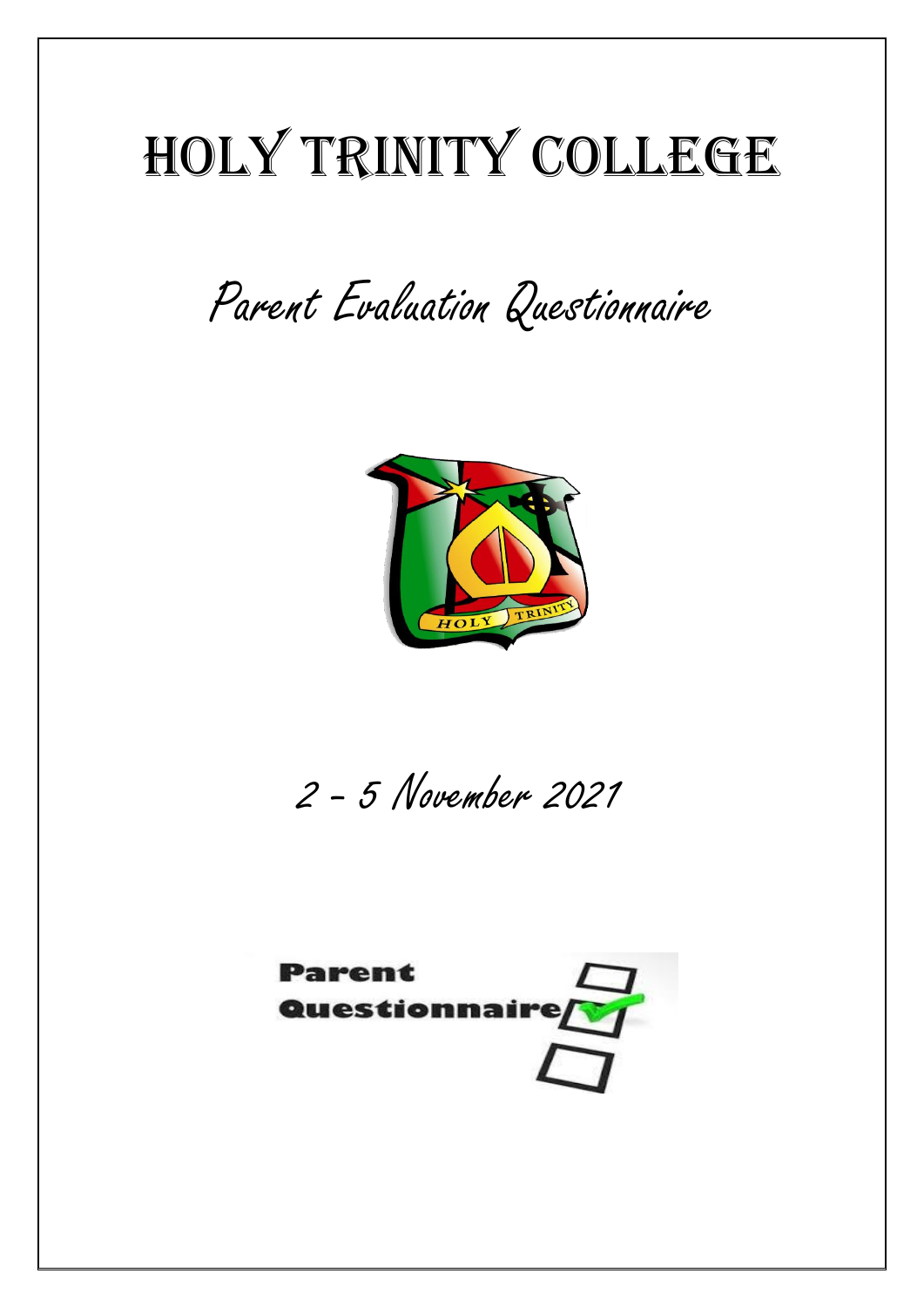## Holy Trinity College

Parent Evaluation Questionnaire



2 - 5 November 2021

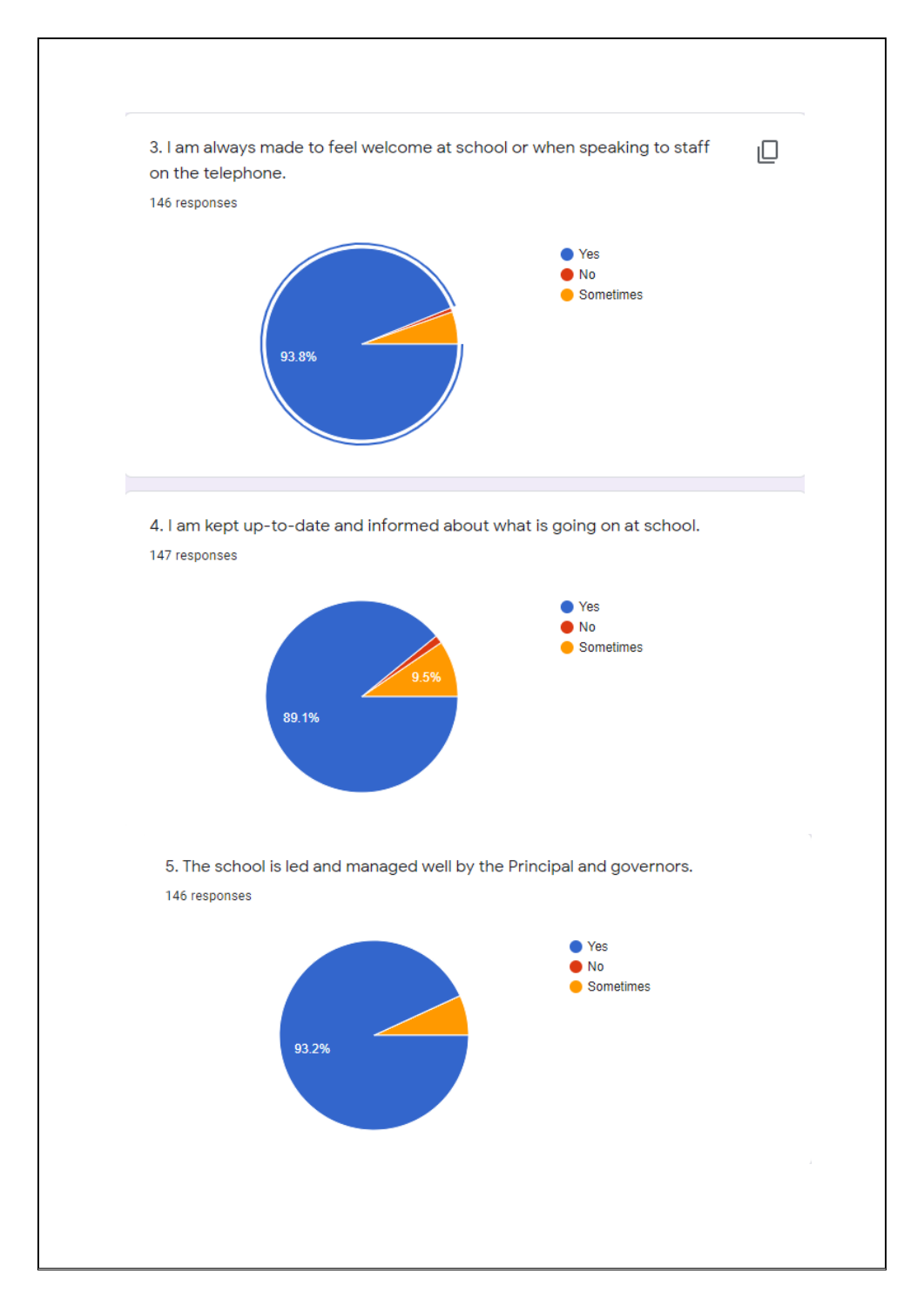

4. I am kept up-to-date and informed about what is going on at school.

147 responses



5. The school is led and managed well by the Principal and governors.

146 responses

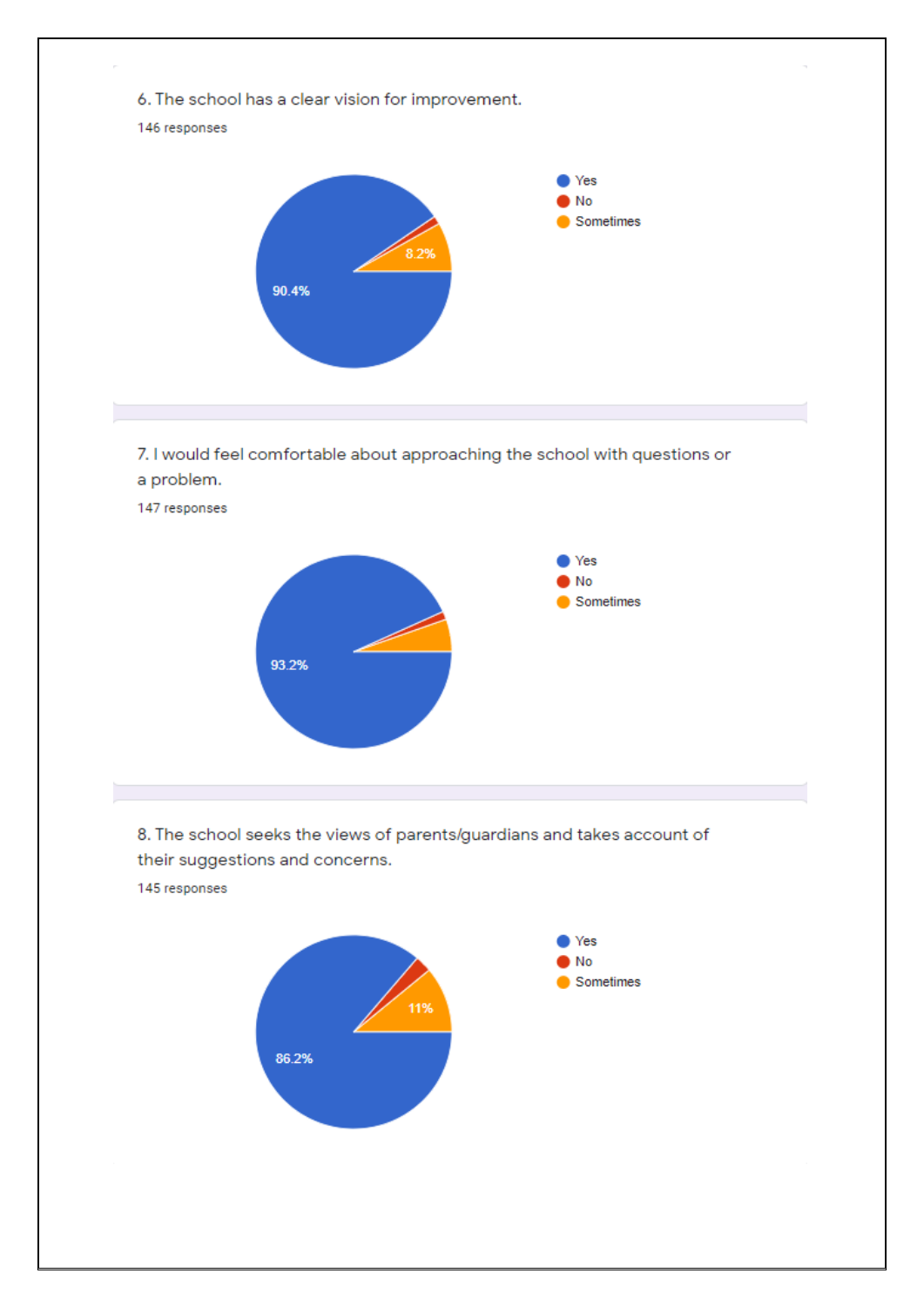

7. I would feel comfortable about approaching the school with questions or a problem.



8. The school seeks the views of parents/guardians and takes account of their suggestions and concerns.

145 responses

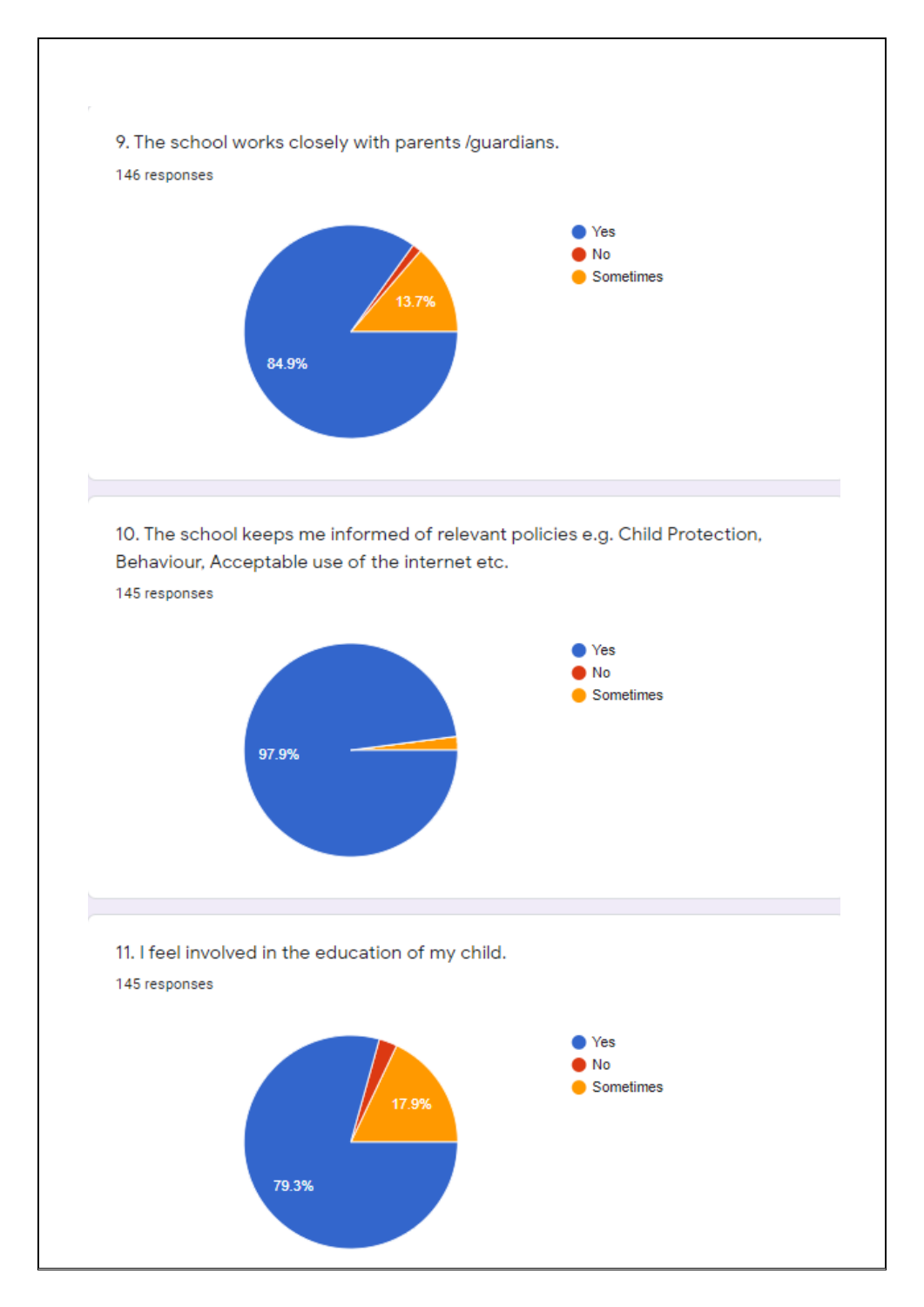

10. The school keeps me informed of relevant policies e.g. Child Protection, Behaviour, Acceptable use of the internet etc.

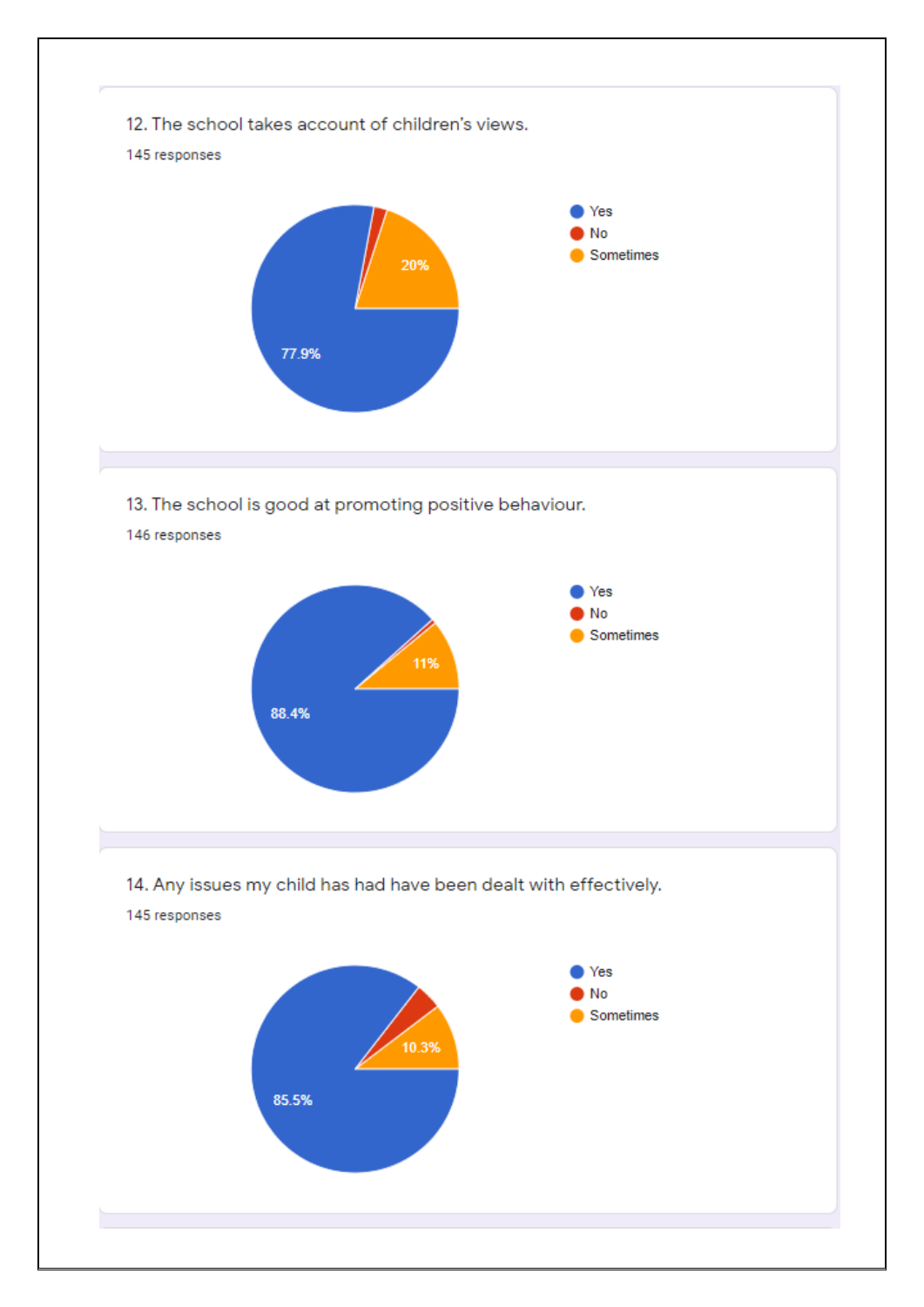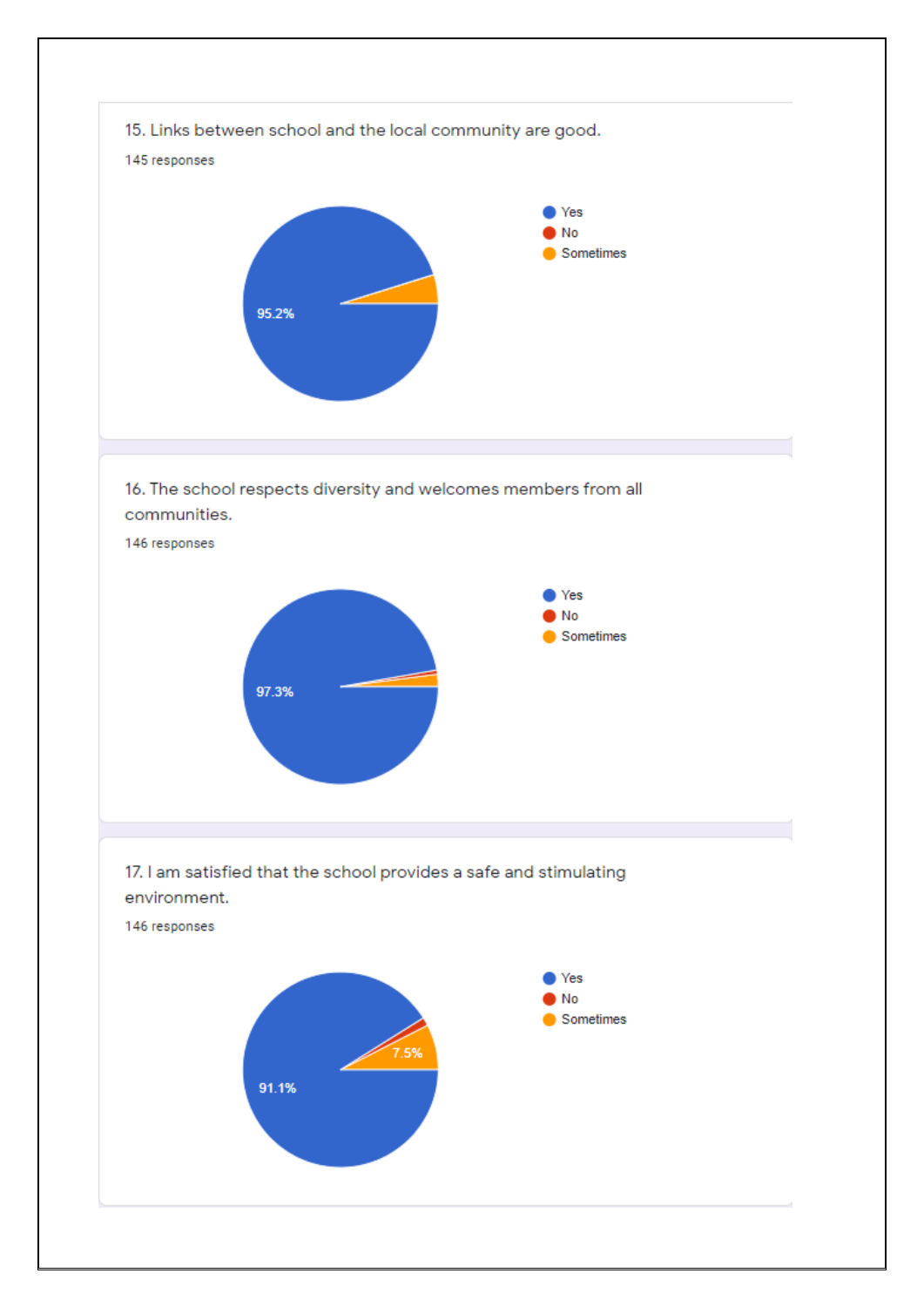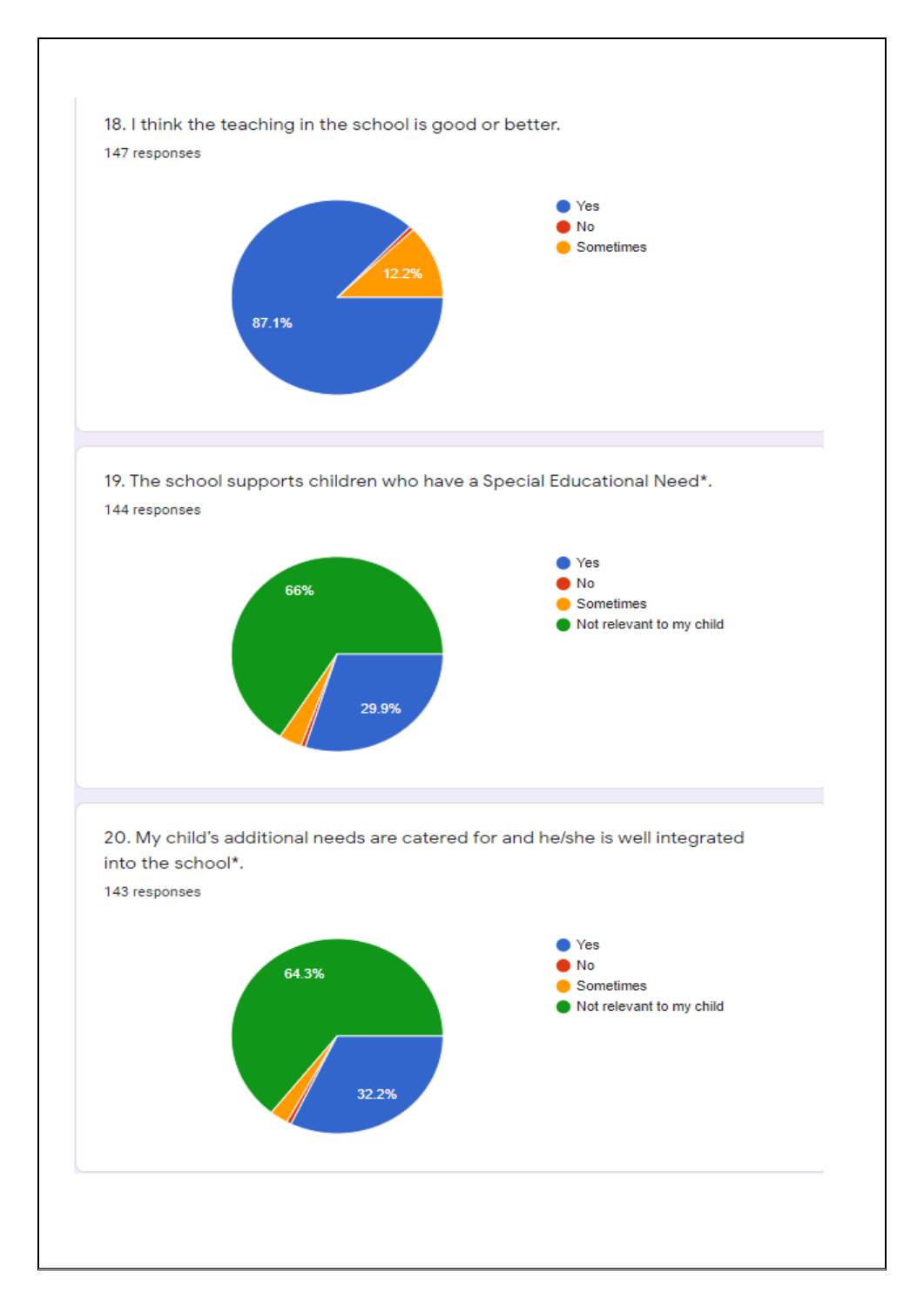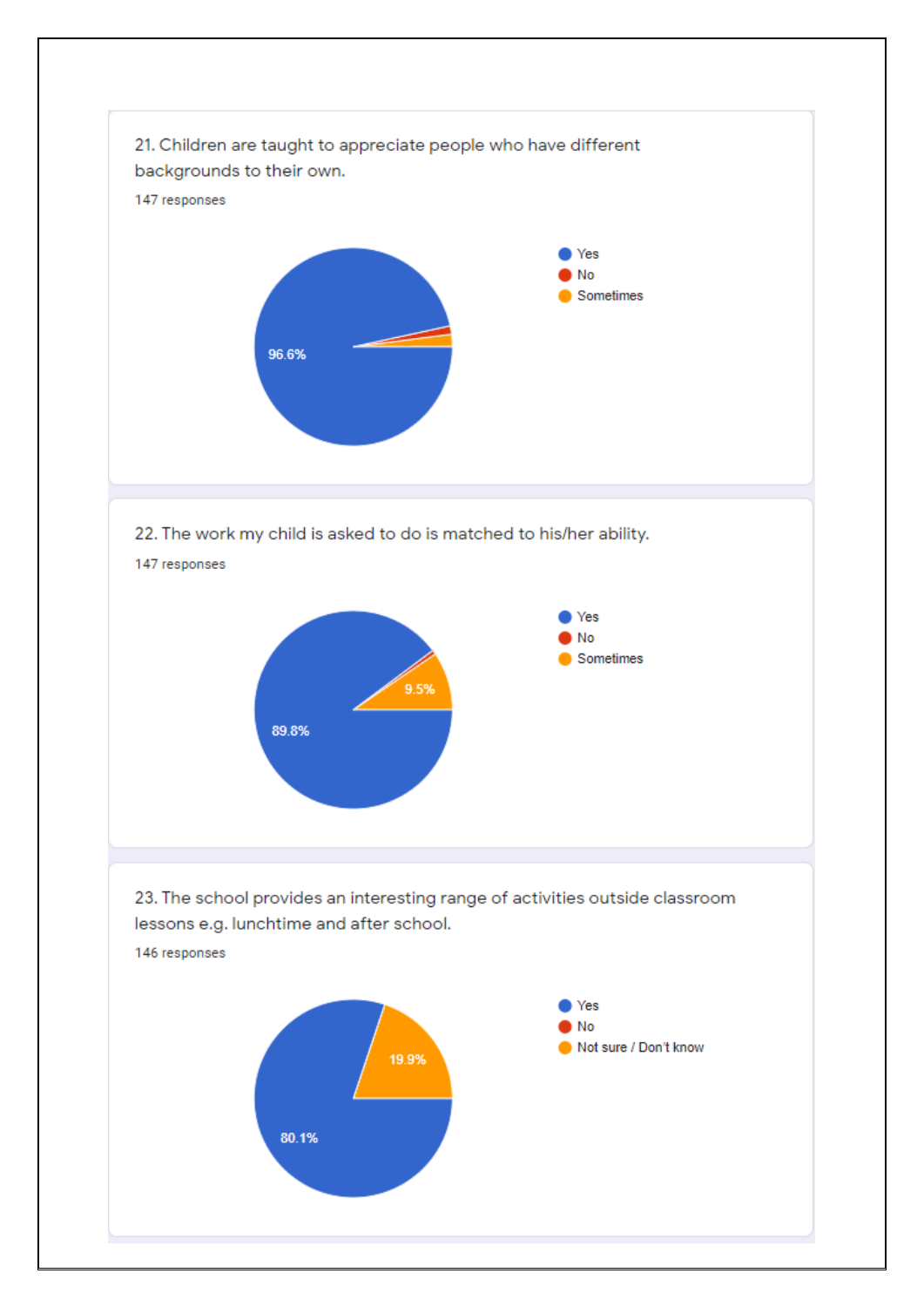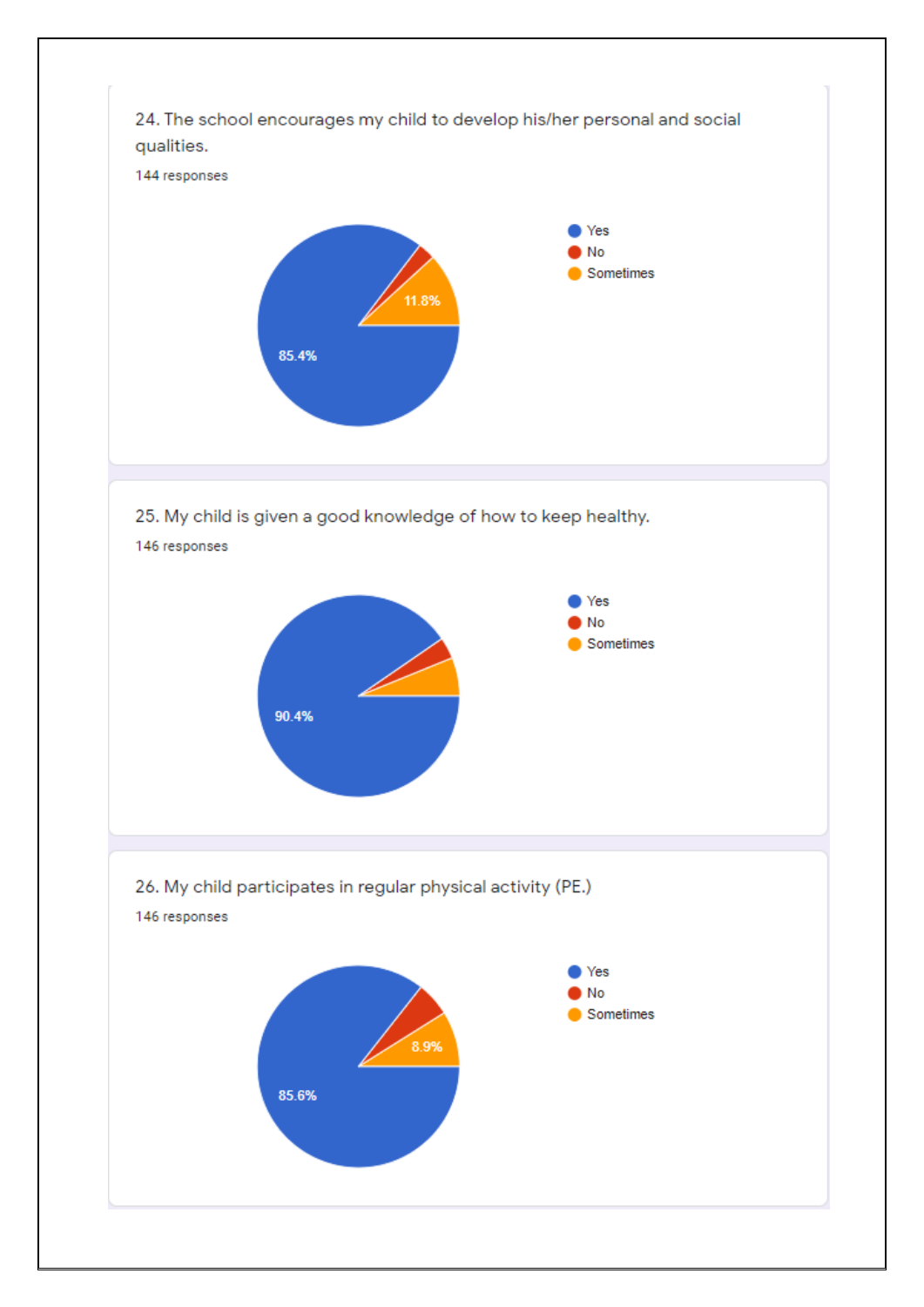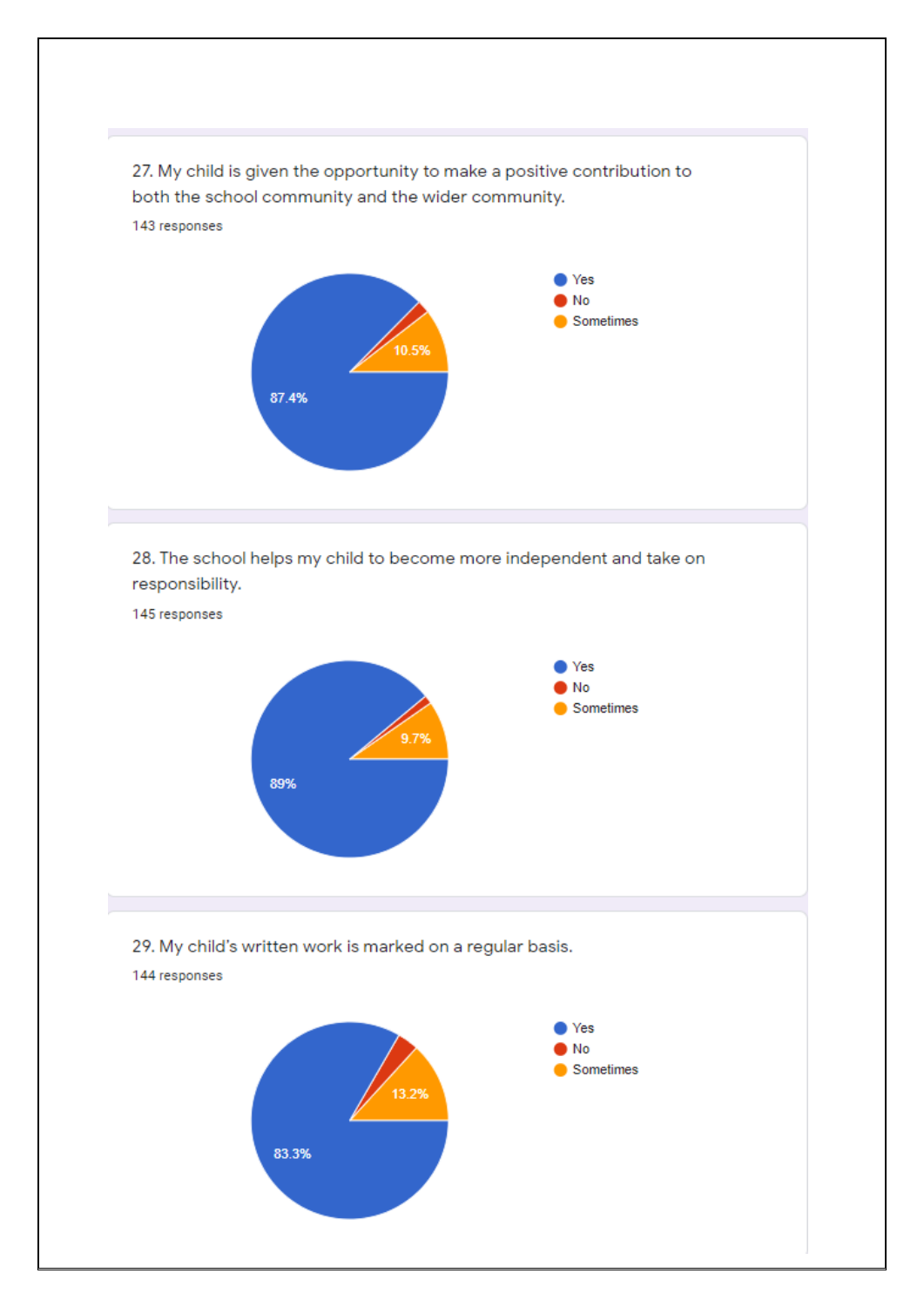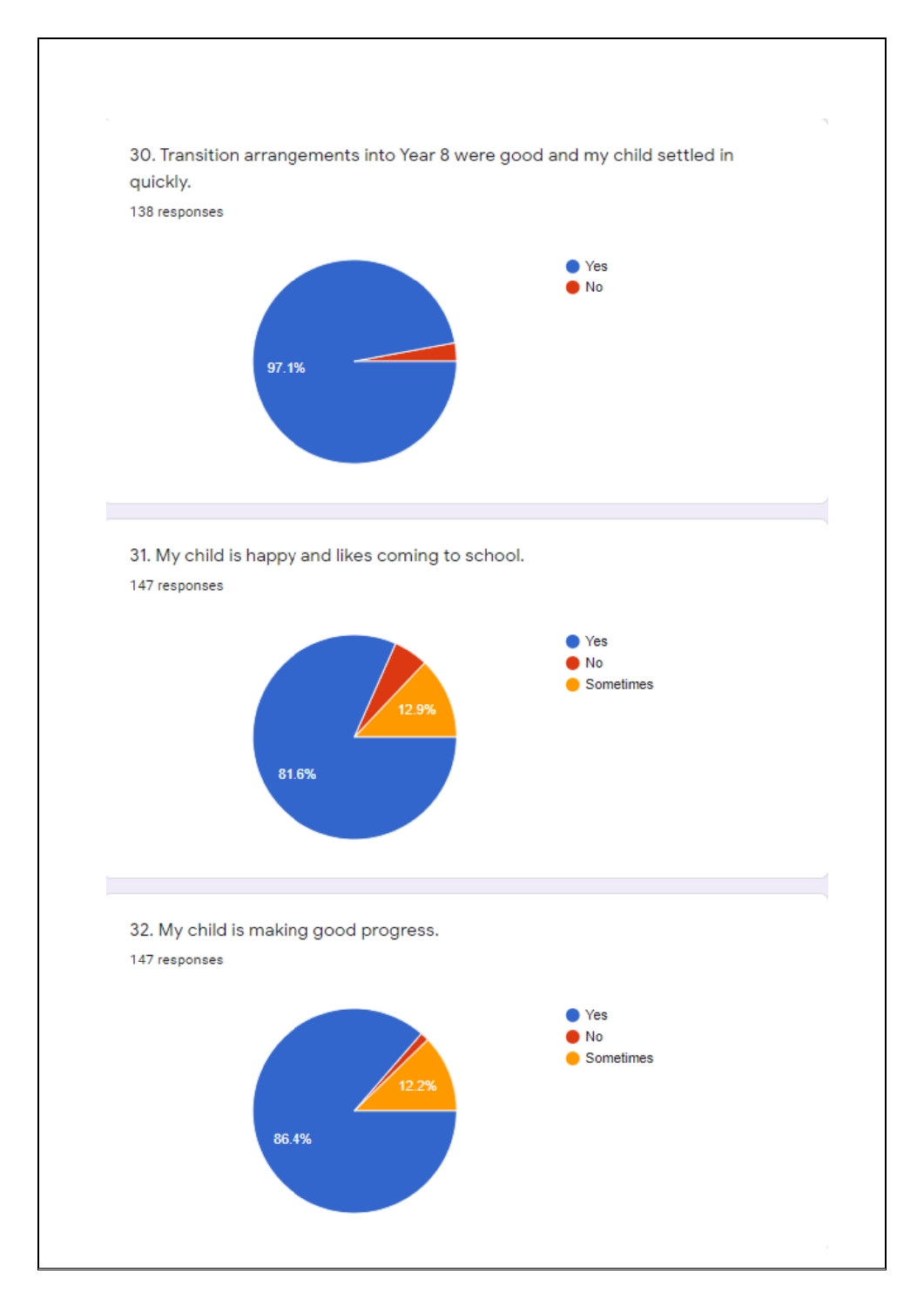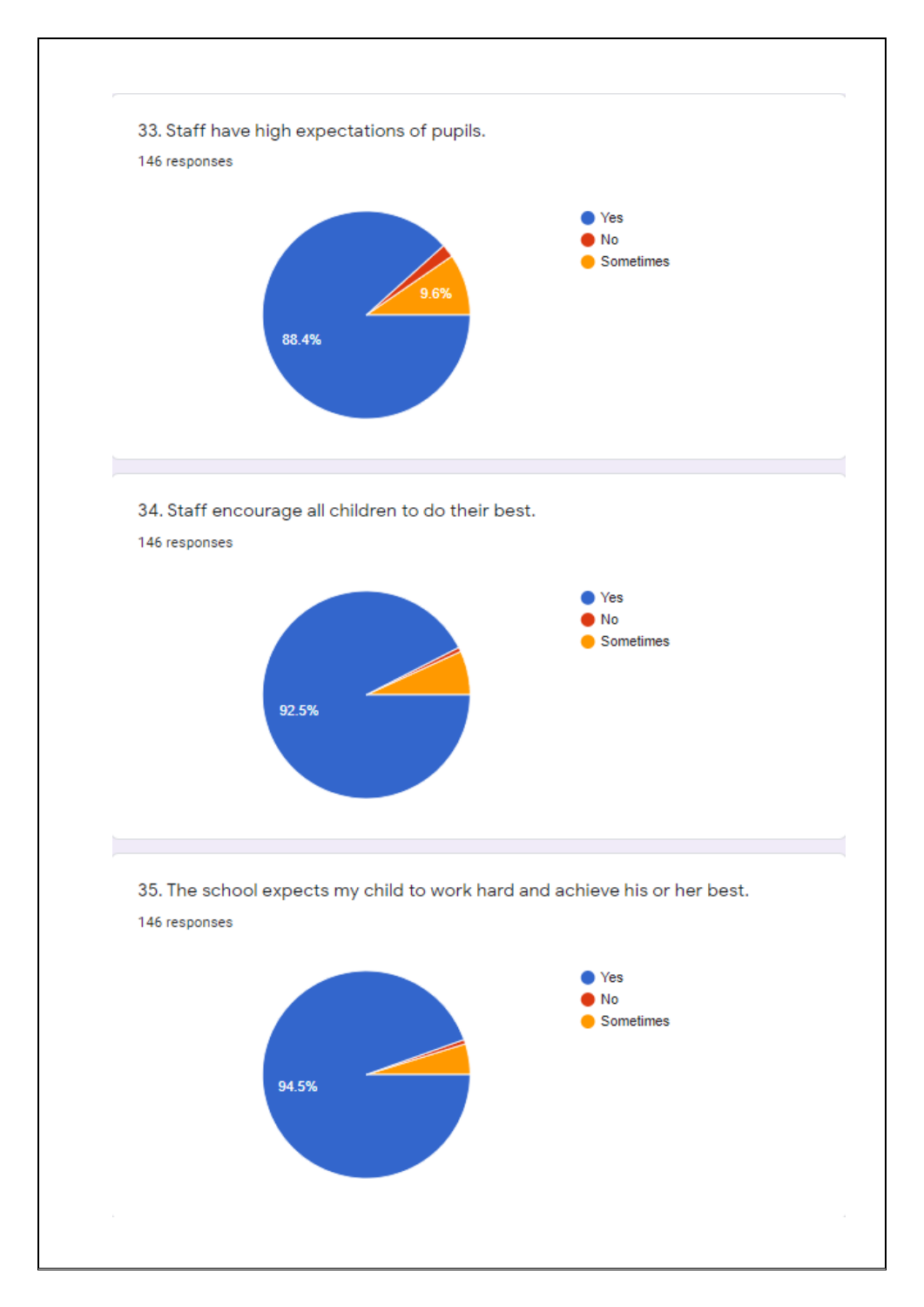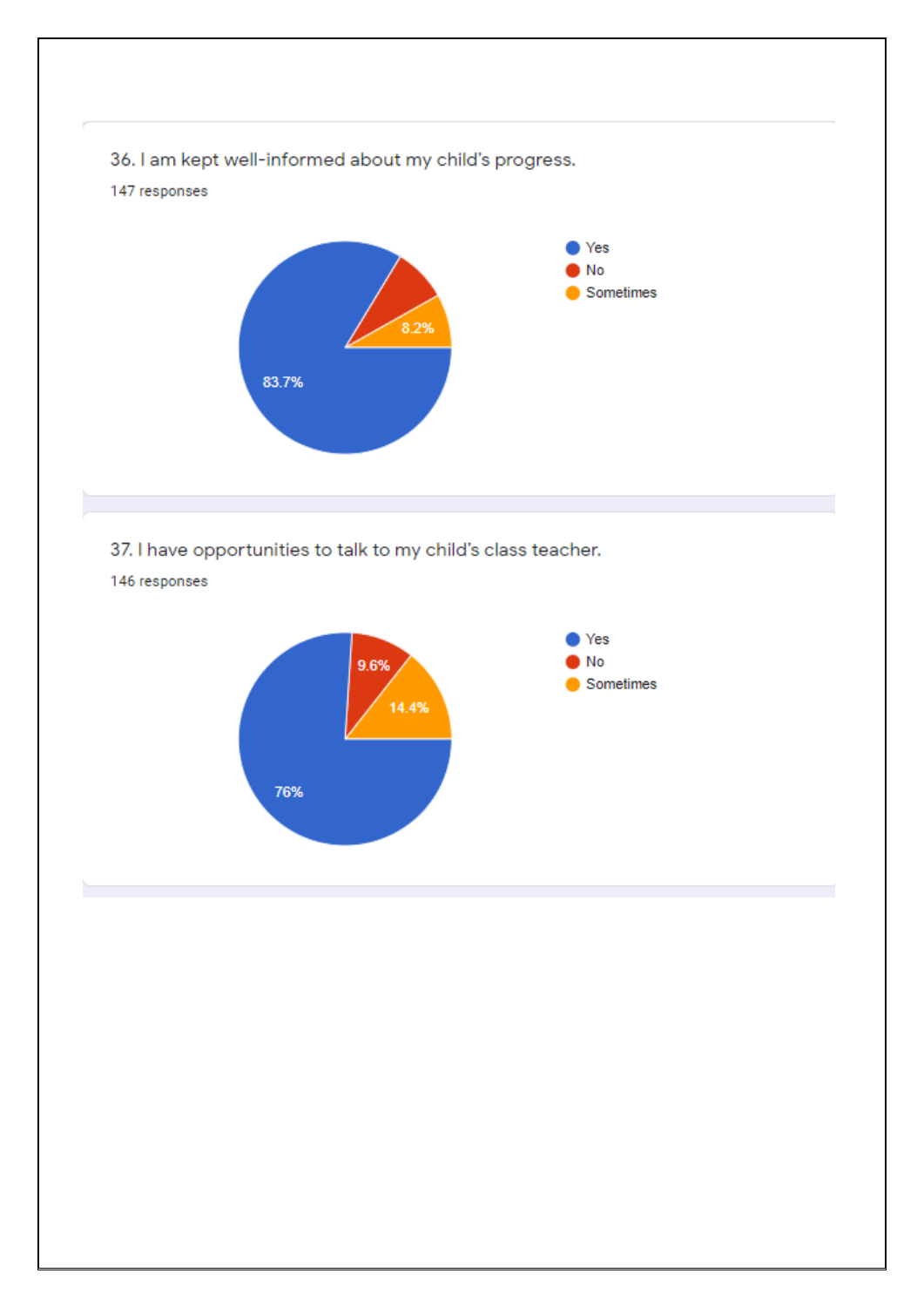

37. I have opportunities to talk to my child's class teacher.

146 responses

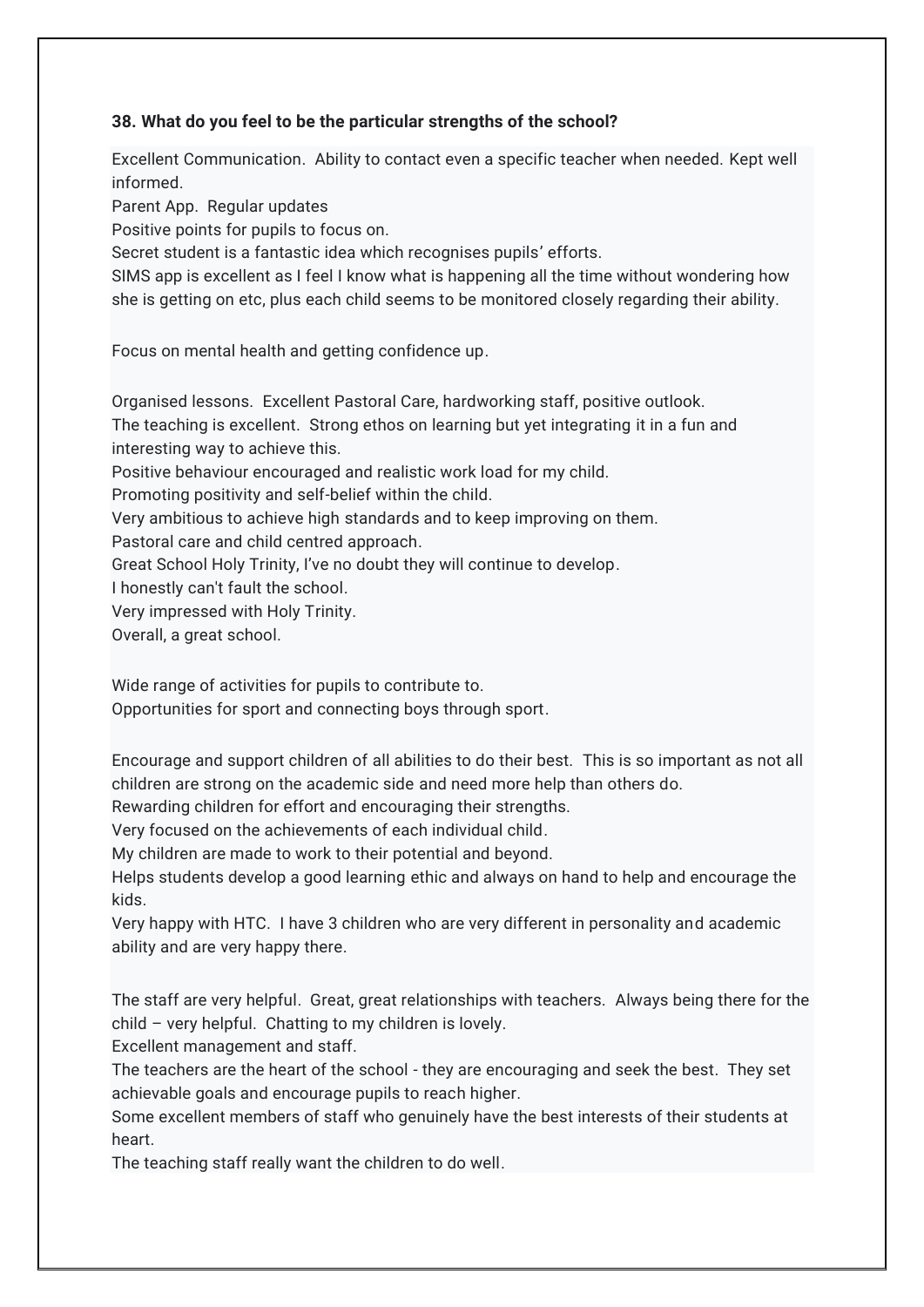## **38. What do you feel to be the particular strengths of the school?**

Excellent Communication. Ability to contact even a specific teacher when needed. Kept well informed.

Parent App. Regular updates

Positive points for pupils to focus on.

Secret student is a fantastic idea which recognises pupils' efforts.

SIMS app is excellent as I feel I know what is happening all the time without wondering how she is getting on etc, plus each child seems to be monitored closely regarding their ability.

Focus on mental health and getting confidence up.

Organised lessons. Excellent Pastoral Care, hardworking staff, positive outlook. The teaching is excellent. Strong ethos on learning but yet integrating it in a fun and interesting way to achieve this. Positive behaviour encouraged and realistic work load for my child. Promoting positivity and self-belief within the child. Very ambitious to achieve high standards and to keep improving on them. Pastoral care and child centred approach.

Great School Holy Trinity, I've no doubt they will continue to develop.

I honestly can't fault the school.

Very impressed with Holy Trinity.

Overall, a great school.

Wide range of activities for pupils to contribute to.

Opportunities for sport and connecting boys through sport.

Encourage and support children of all abilities to do their best. This is so important as not all children are strong on the academic side and need more help than others do.

Rewarding children for effort and encouraging their strengths.

Very focused on the achievements of each individual child.

My children are made to work to their potential and beyond.

Helps students develop a good learning ethic and always on hand to help and encourage the kids.

Very happy with HTC. I have 3 children who are very different in personality and academic ability and are very happy there.

The staff are very helpful. Great, great relationships with teachers. Always being there for the child – very helpful. Chatting to my children is lovely.

Excellent management and staff.

The teachers are the heart of the school - they are encouraging and seek the best. They set achievable goals and encourage pupils to reach higher.

Some excellent members of staff who genuinely have the best interests of their students at heart.

The teaching staff really want the children to do well.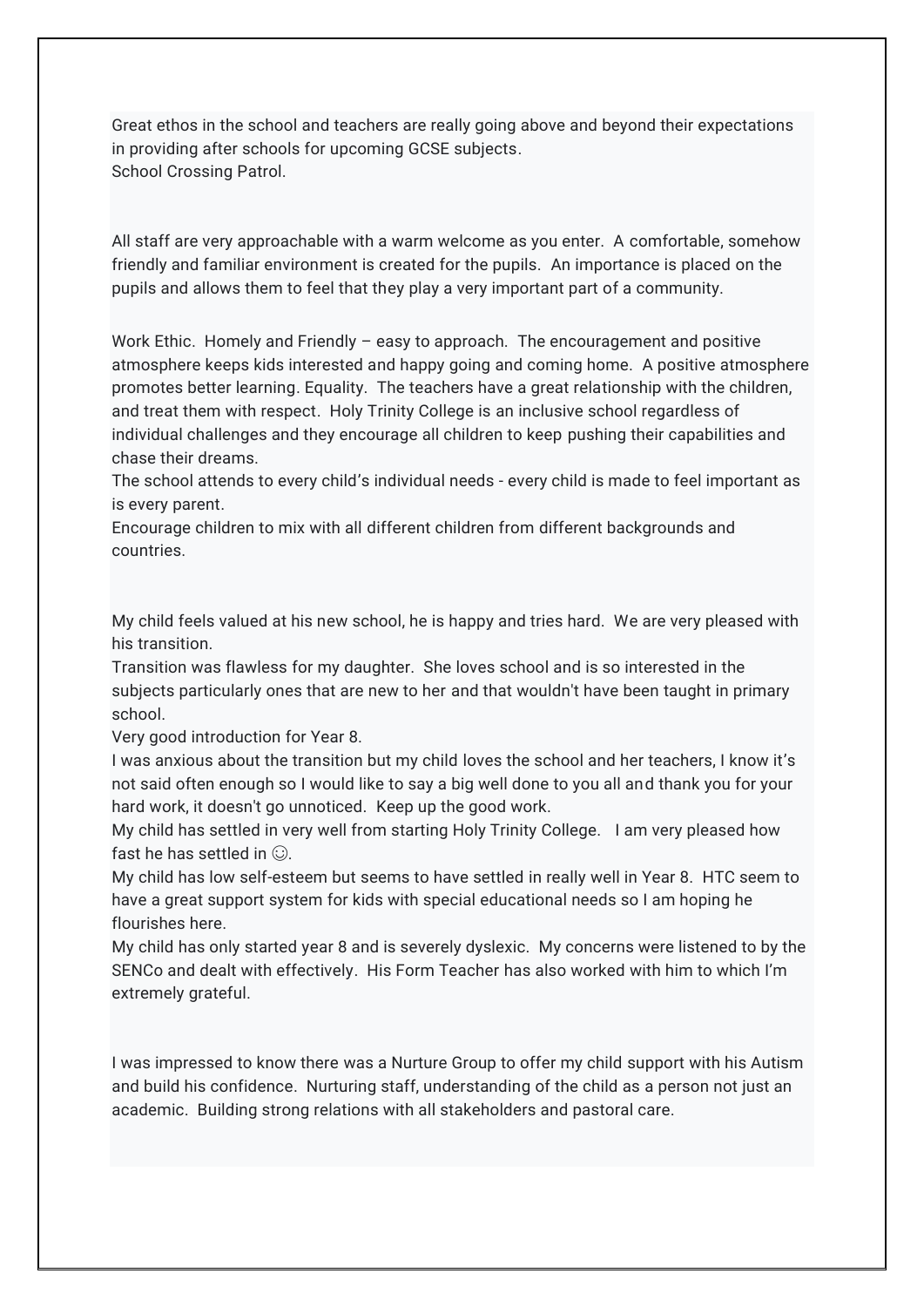Great ethos in the school and teachers are really going above and beyond their expectations in providing after schools for upcoming GCSE subjects. School Crossing Patrol.

All staff are very approachable with a warm welcome as you enter. A comfortable, somehow friendly and familiar environment is created for the pupils. An importance is placed on the pupils and allows them to feel that they play a very important part of a community.

Work Ethic. Homely and Friendly – easy to approach. The encouragement and positive atmosphere keeps kids interested and happy going and coming home. A positive atmosphere promotes better learning. Equality. The teachers have a great relationship with the children, and treat them with respect. Holy Trinity College is an inclusive school regardless of individual challenges and they encourage all children to keep pushing their capabilities and chase their dreams.

The school attends to every child's individual needs - every child is made to feel important as is every parent.

Encourage children to mix with all different children from different backgrounds and countries.

My child feels valued at his new school, he is happy and tries hard. We are very pleased with his transition.

Transition was flawless for my daughter. She loves school and is so interested in the subjects particularly ones that are new to her and that wouldn't have been taught in primary school.

Very good introduction for Year 8.

I was anxious about the transition but my child loves the school and her teachers, I know it's not said often enough so I would like to say a big well done to you all and thank you for your hard work, it doesn't go unnoticed. Keep up the good work.

My child has settled in very well from starting Holy Trinity College. I am very pleased how fast he has settled in  $\odot$ .

My child has low self-esteem but seems to have settled in really well in Year 8. HTC seem to have a great support system for kids with special educational needs so I am hoping he flourishes here.

My child has only started year 8 and is severely dyslexic. My concerns were listened to by the SENCo and dealt with effectively. His Form Teacher has also worked with him to which I'm extremely grateful.

I was impressed to know there was a Nurture Group to offer my child support with his Autism and build his confidence. Nurturing staff, understanding of the child as a person not just an academic. Building strong relations with all stakeholders and pastoral care.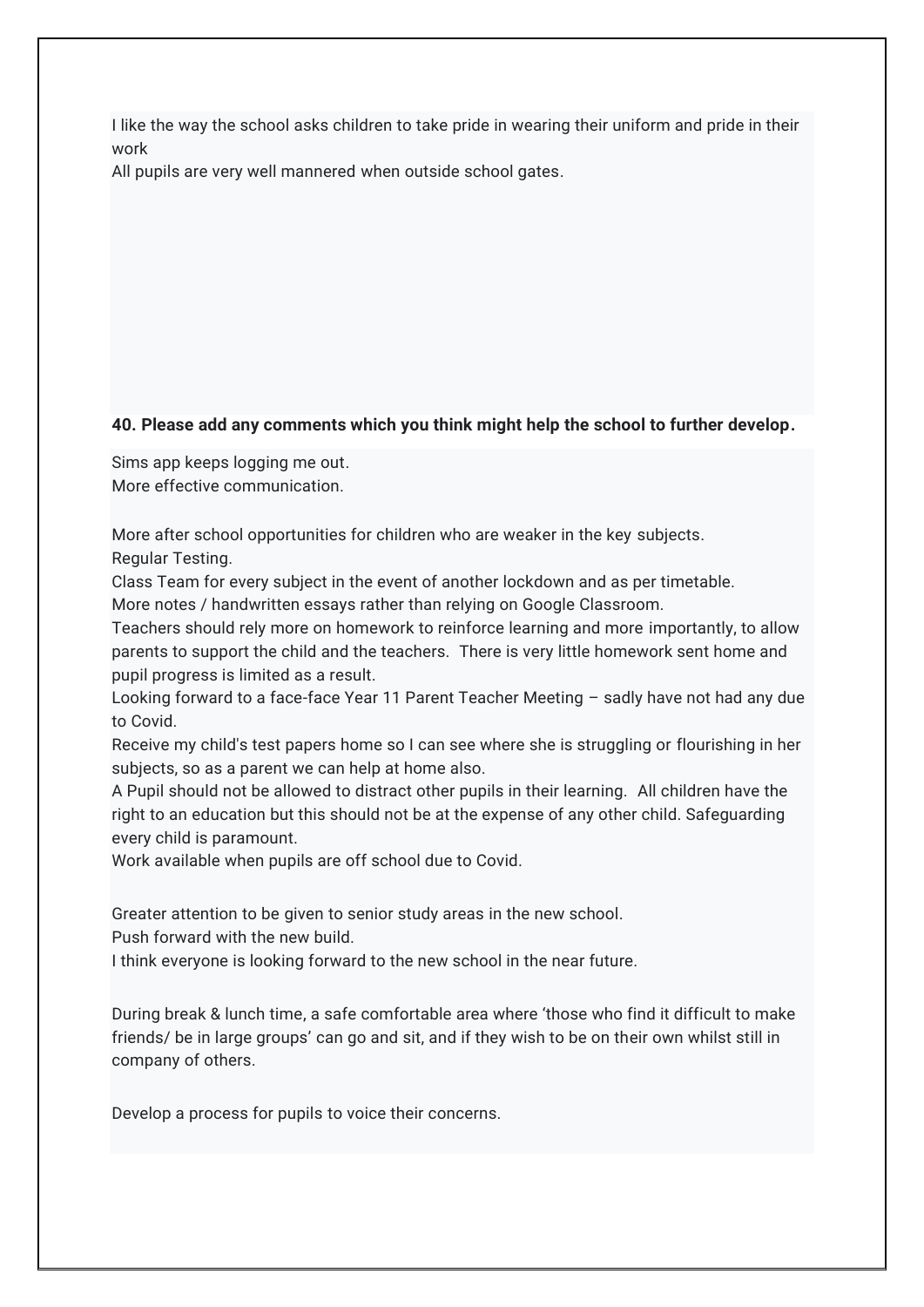I like the way the school asks children to take pride in wearing their uniform and pride in their work

All pupils are very well mannered when outside school gates.

## **40. Please add any comments which you think might help the school to further develop.**

Sims app keeps logging me out. More effective communication.

More after school opportunities for children who are weaker in the key subjects. Regular Testing.

Class Team for every subject in the event of another lockdown and as per timetable.

More notes / handwritten essays rather than relying on Google Classroom.

Teachers should rely more on homework to reinforce learning and more importantly, to allow parents to support the child and the teachers. There is very little homework sent home and pupil progress is limited as a result.

Looking forward to a face-face Year 11 Parent Teacher Meeting – sadly have not had any due to Covid.

Receive my child's test papers home so I can see where she is struggling or flourishing in her subjects, so as a parent we can help at home also.

A Pupil should not be allowed to distract other pupils in their learning. All children have the right to an education but this should not be at the expense of any other child. Safeguarding every child is paramount.

Work available when pupils are off school due to Covid.

Greater attention to be given to senior study areas in the new school.

Push forward with the new build.

I think everyone is looking forward to the new school in the near future.

During break & lunch time, a safe comfortable area where 'those who find it difficult to make friends/ be in large groups' can go and sit, and if they wish to be on their own whilst still in company of others.

Develop a process for pupils to voice their concerns.